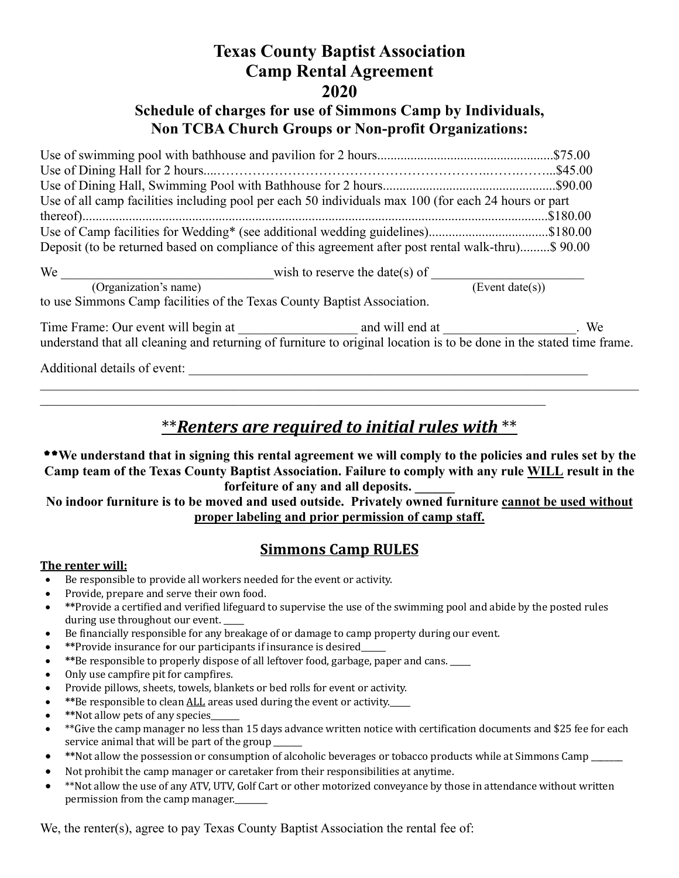# **Texas County Baptist Association Camp Rental Agreement 2020**

#### **Schedule of charges for use of Simmons Camp by Individuals, Non TCBA Church Groups or Non-profit Organizations:**

| Use of all camp facilities including pool per each 50 individuals max 100 (for each 24 hours or part |  |
|------------------------------------------------------------------------------------------------------|--|
|                                                                                                      |  |
| Use of Camp facilities for Wedding* (see additional wedding guidelines)\$180.00                      |  |
| Deposit (to be returned based on compliance of this agreement after post rental walk-thru)\$ 90.00   |  |
|                                                                                                      |  |

| We                                                                      | wish to reserve the date(s) of |
|-------------------------------------------------------------------------|--------------------------------|
| (Organization's name)                                                   | (Event date(s))                |
| to use Simmons Camp facilities of the Texas County Baptist Association. |                                |

Time Frame: Our event will begin at \_\_\_\_\_\_\_\_\_\_\_\_\_\_\_\_\_\_ and will end at \_\_\_\_\_\_\_\_\_\_\_\_\_\_\_\_\_\_\_\_. We understand that all cleaning and returning of furniture to original location is to be done in the stated time frame.

Additional details of event:

## \*\*Renters are required to initial rules with \*\*

 $\mathcal{L}_\mathcal{L}$  , and the contribution of the contribution of the contribution of the contribution of the contribution of the contribution of the contribution of the contribution of the contribution of the contribution of

\*\***We understand that in signing this rental agreement we will comply to the policies and rules set by the Camp team of the Texas County Baptist Association. Failure to comply with any rule WILL result in the forfeiture of any and all deposits. \_\_\_\_\_\_** 

**No indoor furniture is to be moved and used outside. Privately owned furniture cannot be used without proper labeling and prior permission of camp staff.**

### **Simmons Camp RULES**

#### **The renter will:**

- Be responsible to provide all workers needed for the event or activity.
- Provide, prepare and serve their own food.
- \*\*Provide a certified and verified lifeguard to supervise the use of the swimming pool and abide by the posted rules during use throughout our event.
- Be financially responsible for any breakage of or damage to camp property during our event.
- **\*\*Provide insurance for our participants if insurance is desired**
- \*\*Be responsible to properly dispose of all leftover food, garbage, paper and cans.
- Only use campfire pit for campfires.
- Provide pillows, sheets, towels, blankets or bed rolls for event or activity.
- **\*\***Be responsible to clean ALL areas used during the event or activity.
- \*Not allow pets of any species\_
- $**$ Give the camp manager no less than 15 days advance written notice with certification documents and \$25 fee for each service animal that will be part of the group \_\_\_\_\_
- \*Not allow the possession or consumption of alcoholic beverages or tobacco products while at Simmons Camp \_\_\_\_\_\_
- Not prohibit the camp manager or caretaker from their responsibilities at anytime.
- \*Not allow the use of any ATV, UTV, Golf Cart or other motorized conveyance by those in attendance without written permission from the camp manager.

We, the renter(s), agree to pay Texas County Baptist Association the rental fee of: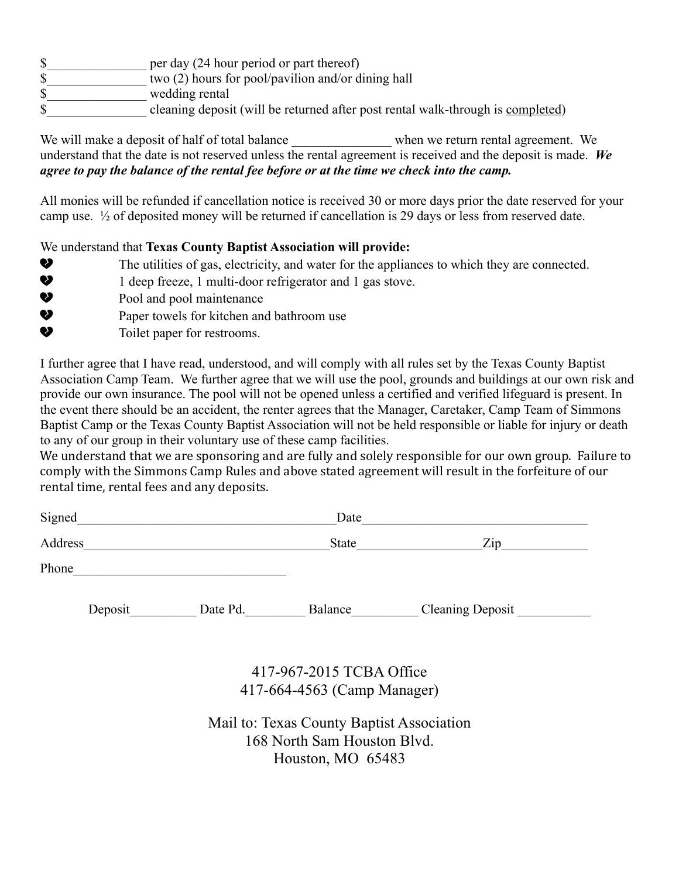- \$ per day (24 hour period or part thereof)
- \$\_\_\_\_\_\_\_\_\_\_\_\_\_\_\_ two (2) hours for pool/pavilion and/or dining hall
- \$\_\_\_\_\_\_\_\_\_\_\_\_\_\_\_ wedding rental
- \$ cleaning deposit (will be returned after post rental walk-through is completed)

We will make a deposit of half of total balance when we return rental agreement. We understand that the date is not reserved unless the rental agreement is received and the deposit is made. *We agree to pay the balance of the rental fee before or at the time we check into the camp.*

All monies will be refunded if cancellation notice is received 30 or more days prior the date reserved for your camp use.  $\frac{1}{2}$  of deposited money will be returned if cancellation is 29 days or less from reserved date.

We understand that **Texas County Baptist Association will provide:**

- The utilities of gas, electricity, and water for the appliances to which they are connected.
- **2** 1 deep freeze, 1 multi-door refrigerator and 1 gas stove.
- $\bullet$  Pool and pool maintenance
- ! Paper towels for kitchen and bathroom use
- $\bullet$  Toilet paper for restrooms.

I further agree that I have read, understood, and will comply with all rules set by the Texas County Baptist Association Camp Team. We further agree that we will use the pool, grounds and buildings at our own risk and provide our own insurance. The pool will not be opened unless a certified and verified lifeguard is present. In the event there should be an accident, the renter agrees that the Manager, Caretaker, Camp Team of Simmons Baptist Camp or the Texas County Baptist Association will not be held responsible or liable for injury or death to any of our group in their voluntary use of these camp facilities.

We understand that we are sponsoring and are fully and solely responsible for our own group. Failure to comply with the Simmons Camp Rules and above stated agreement will result in the forfeiture of our rental time, rental fees and any deposits.

| Signed  |         |          | Date    |                                   |
|---------|---------|----------|---------|-----------------------------------|
| Address |         |          | State   | $\mathop{\mathrm {Zip}}\nolimits$ |
| Phone   |         |          |         |                                   |
|         | Deposit | Date Pd. | Balance | <b>Cleaning Deposit</b>           |
|         |         |          |         |                                   |

417-967-2015 TCBA Office 417-664-4563 (Camp Manager)

Mail to: Texas County Baptist Association 168 North Sam Houston Blvd. Houston, MO 65483